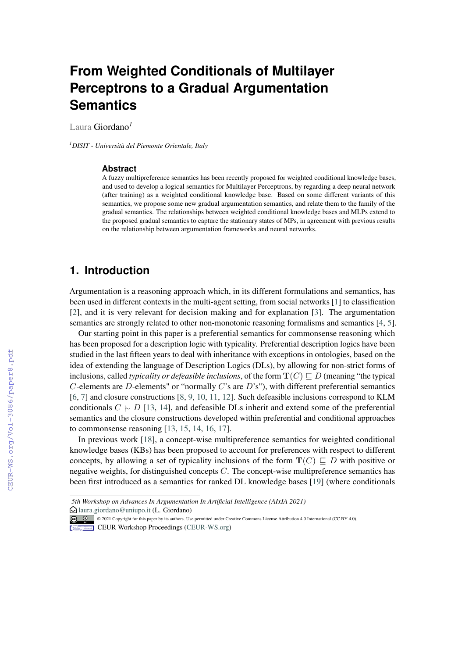# **From Weighted Conditionals of Multilayer Perceptrons to a Gradual Argumentation Semantics**

Laura Giordano*<sup>1</sup>*

*<sup>1</sup>DISIT - Università del Piemonte Orientale, Italy*

#### **Abstract**

A fuzzy multipreference semantics has been recently proposed for weighted conditional knowledge bases, and used to develop a logical semantics for Multilayer Perceptrons, by regarding a deep neural network (after training) as a weighted conditional knowledge base. Based on some different variants of this semantics, we propose some new gradual argumentation semantics, and relate them to the family of the gradual semantics. The relationships between weighted conditional knowledge bases and MLPs extend to the proposed gradual semantics to capture the stationary states of MPs, in agreement with previous results on the relationship between argumentation frameworks and neural networks.

### **1. Introduction**

Argumentation is a reasoning approach which, in its different formulations and semantics, has been used in different contexts in the multi-agent setting, from social networks [\[1\]](#page--1-0) to classification [\[2\]](#page--1-1), and it is very relevant for decision making and for explanation [\[3\]](#page--1-2). The argumentation semantics are strongly related to other non-monotonic reasoning formalisms and semantics [\[4,](#page--1-3) [5\]](#page--1-4).

Our starting point in this paper is a preferential semantics for commonsense reasoning which has been proposed for a description logic with typicality. Preferential description logics have been studied in the last fifteen years to deal with inheritance with exceptions in ontologies, based on the idea of extending the language of Description Logics (DLs), by allowing for non-strict forms of inclusions, called *typicality or defeasible inclusions*, of the form  $T(C) \sqsubseteq D$  (meaning "the typical  $C$ -elements are  $D$ -elements" or "normally  $C$ 's are  $D$ 's"), with different preferential semantics [\[6,](#page--1-5) [7\]](#page--1-6) and closure constructions [\[8,](#page--1-7) [9,](#page--1-8) [10,](#page--1-9) [11,](#page--1-10) [12\]](#page--1-11). Such defeasible inclusions correspond to KLM conditionals  $C \sim D$  [\[13,](#page--1-12) [14\]](#page--1-13), and defeasible DLs inherit and extend some of the preferential semantics and the closure constructions developed within preferential and conditional approaches to commonsense reasoning [\[13,](#page--1-12) [15,](#page--1-14) [14,](#page--1-13) [16,](#page--1-15) [17\]](#page--1-16).

In previous work [\[18\]](#page--1-17), a concept-wise multipreference semantics for weighted conditional knowledge bases (KBs) has been proposed to account for preferences with respect to different concepts, by allowing a set of typicality inclusions of the form  $T(C) \sqsubset D$  with positive or negative weights, for distinguished concepts  $C$ . The concept-wise multipreference semantics has been first introduced as a semantics for ranked DL knowledge bases [\[19\]](#page--1-18) (where conditionals

*<sup>5</sup>th Workshop on Advances In Argumentation In Artificial Intelligence (AIxIA 2021)*

 $\bigcirc$  [laura.giordano@uniupo.it](mailto:laura.giordano@uniupo.it) (L. Giordano)

<sup>© &</sup>lt;sup>0</sup> © 2021 Copyright for this paper by its authors. Use permitted under Creative Commons License Attribution 4.0 International (CC BY 4.0).

CEUR Workshop [Proceedings](http://ceur-ws.org) [\(CEUR-WS.org\)](http://ceur-ws.org)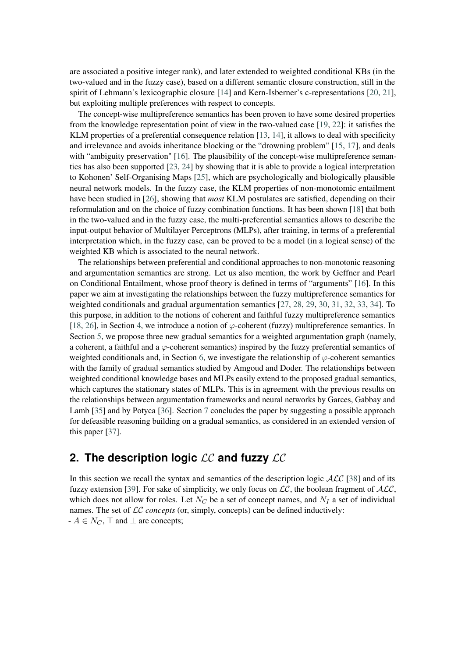are associated a positive integer rank), and later extended to weighted conditional KBs (in the two-valued and in the fuzzy case), based on a different semantic closure construction, still in the spirit of Lehmann's lexicographic closure [\[14\]](#page-12-0) and Kern-Isberner's c-representations [\[20,](#page-13-0) [21\]](#page-13-1), but exploiting multiple preferences with respect to concepts.

The concept-wise multipreference semantics has been proven to have some desired properties from the knowledge representation point of view in the two-valued case [\[19,](#page-13-2) [22\]](#page-13-3): it satisfies the KLM properties of a preferential consequence relation [\[13,](#page-12-1) [14\]](#page-12-0), it allows to deal with specificity and irrelevance and avoids inheritance blocking or the "drowning problem" [\[15,](#page-13-4) [17\]](#page-13-5), and deals with "ambiguity preservation" [\[16\]](#page-13-6). The plausibility of the concept-wise multipreference semantics has also been supported [\[23,](#page-13-7) [24\]](#page-13-8) by showing that it is able to provide a logical interpretation to Kohonen' Self-Organising Maps [\[25\]](#page-13-9), which are psychologically and biologically plausible neural network models. In the fuzzy case, the KLM properties of non-monotomic entailment have been studied in [\[26\]](#page-13-10), showing that *most* KLM postulates are satisfied, depending on their reformulation and on the choice of fuzzy combination functions. It has been shown [\[18\]](#page-13-11) that both in the two-valued and in the fuzzy case, the multi-preferential semantics allows to describe the input-output behavior of Multilayer Perceptrons (MLPs), after training, in terms of a preferential interpretation which, in the fuzzy case, can be proved to be a model (in a logical sense) of the weighted KB which is associated to the neural network.

The relationships between preferential and conditional approaches to non-monotonic reasoning and argumentation semantics are strong. Let us also mention, the work by Geffner and Pearl on Conditional Entailment, whose proof theory is defined in terms of "arguments" [\[16\]](#page-13-6). In this paper we aim at investigating the relationships between the fuzzy multipreference semantics for weighted conditionals and gradual argumentation semantics [\[27,](#page-13-12) [28,](#page-13-13) [29,](#page-13-14) [30,](#page-13-15) [31,](#page-13-16) [32,](#page-13-17) [33,](#page-13-18) [34\]](#page-13-19). To this purpose, in addition to the notions of coherent and faithful fuzzy multipreference semantics [\[18,](#page-13-11) [26\]](#page-13-10), in Section [4,](#page-7-0) we introduce a notion of  $\varphi$ -coherent (fuzzy) multipreference semantics. In Section [5,](#page-8-0) we propose three new gradual semantics for a weighted argumentation graph (namely, a coherent, a faithful and a  $\varphi$ -coherent semantics) inspired by the fuzzy preferential semantics of weighted conditionals and, in Section [6,](#page-10-0) we investigate the relationship of  $\varphi$ -coherent semantics with the family of gradual semantics studied by Amgoud and Doder. The relationships between weighted conditional knowledge bases and MLPs easily extend to the proposed gradual semantics, which captures the stationary states of MLPs. This is in agreement with the previous results on the relationships between argumentation frameworks and neural networks by Garces, Gabbay and Lamb [\[35\]](#page-14-0) and by Potyca [\[36\]](#page-14-1). Section [7](#page-11-0) concludes the paper by suggesting a possible approach for defeasible reasoning building on a gradual semantics, as considered in an extended version of this paper [\[37\]](#page-14-2).

# <span id="page-1-0"></span>**2. The description logic**  $LC$  and fuzzy  $LC$

In this section we recall the syntax and semantics of the description logic  $\text{ALC}$  [\[38\]](#page-14-3) and of its fuzzy extension [\[39\]](#page-14-4). For sake of simplicity, we only focus on  $\mathcal{LC}$ , the boolean fragment of  $\mathcal{ALC}$ , which does not allow for roles. Let  $N_C$  be a set of concept names, and  $N_I$  a set of individual names. The set of *LC* concepts (or, simply, concepts) can be defined inductively:  $- A \in N_C$ ,  $\top$  and  $\bot$  are concepts;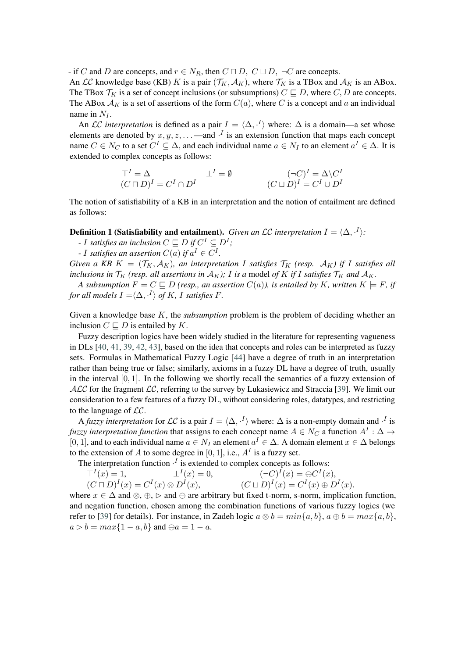- if C and D are concepts, and  $r \in N_R$ , then  $C \sqcap D$ ,  $C \sqcup D$ ,  $\neg C$  are concepts.

An *LC* knowledge base (KB) *K* is a pair  $(\mathcal{T}_K, \mathcal{A}_K)$ , where  $\mathcal{T}_K$  is a TBox and  $\mathcal{A}_K$  is an ABox. The TBox  $\mathcal{T}_K$  is a set of concept inclusions (or subsumptions)  $C \sqsubseteq D$ , where  $C, D$  are concepts. The ABox  $A_K$  is a set of assertions of the form  $C(a)$ , where C is a concept and a an individual name in  $N_I$ .

An LC *interpretation* is defined as a pair  $I = \langle \Delta, \cdot^I \rangle$  where:  $\Delta$  is a domain—a set whose elements are denoted by  $x, y, z, \ldots$  —and  $\cdot^{I}$  is an extension function that maps each concept name  $C \in N_C$  to a set  $C^I \subseteq \Delta$ , and each individual name  $a \in N_I$  to an element  $a^I \in \Delta$ . It is extended to complex concepts as follows:

$$
\top^{I} = \Delta \qquad \qquad \bot^{I} = \emptyset \qquad \qquad (\neg C)^{I} = \Delta \backslash C^{I}
$$
  

$$
(C \sqcup D)^{I} = C^{I} \cap D^{I} \qquad \qquad (C \sqcup D)^{I} = C^{I} \cup D^{I}
$$

The notion of satisfiability of a KB in an interpretation and the notion of entailment are defined as follows:

#### **Definition 1 (Satisfiability and entailment).** Given an LC interpretation  $I = \langle \Delta, \cdot^I \rangle$ :

- *- I* satisfies an inclusion  $C \sqsubseteq D$  if  $C^I \subseteq D^I$ ;
- *- I* satisfies an assertion  $C(a)$  if  $a^I \in C^I$ .

*Given a KB*  $K = (\mathcal{T}_K, \mathcal{A}_K)$ *, an interpretation I satisfies*  $\mathcal{T}_K$  (resp.  $\mathcal{A}_K$ ) if *I satisfies all inclusions in*  $\mathcal{T}_K$  (resp. all assertions in  $\mathcal{A}_K$ ); I is a model of K if I satisfies  $\mathcal{T}_K$  and  $\mathcal{A}_K$ .

*A subsumption*  $F = C \sqsubseteq D$  (resp., an assertion  $C(a)$ ), is entailed by K, written  $K \models F$ , if  $f$ or all models  $I = \langle \Delta, \cdot^I \rangle$  of  $K$ ,  $I$  satisfies  $F$ .

Given a knowledge base  $K$ , the *subsumption* problem is the problem of deciding whether an inclusion  $C \sqsubseteq D$  is entailed by K.

Fuzzy description logics have been widely studied in the literature for representing vagueness in DLs [\[40,](#page-14-5) [41,](#page-14-6) [39,](#page-14-4) [42,](#page-14-7) [43\]](#page-14-8), based on the idea that concepts and roles can be interpreted as fuzzy sets. Formulas in Mathematical Fuzzy Logic [\[44\]](#page-14-9) have a degree of truth in an interpretation rather than being true or false; similarly, axioms in a fuzzy DL have a degree of truth, usually in the interval  $[0, 1]$ . In the following we shortly recall the semantics of a fuzzy extension of  $ALC$  for the fragment  $LC$ , referring to the survey by Lukasiewicz and Straccia [\[39\]](#page-14-4). We limit our consideration to a few features of a fuzzy DL, without considering roles, datatypes, and restricting to the language of  $\mathcal{LC}$ .

A *fuzzy interpretation* for  $LC$  is a pair  $I = \langle \Delta, \cdot^I \rangle$  where:  $\Delta$  is a non-empty domain and  $\cdot^I$  is *fuzzy interpretation function that assigns to each concept name*  $A \in N_C$  *a function*  $A^I: \Delta \rightarrow$ [0, 1], and to each individual name  $a \in N_I$  an element  $a^I \in \Delta$ . A domain element  $x \in \Delta$  belongs to the extension of A to some degree in [0, 1], i.e.,  $A<sup>I</sup>$  is a fuzzy set.

The interpretation function  $\cdot^I$  is extended to complex concepts as follows:

$$
\begin{aligned}\n\top^I(x) &= 1, & \quad \bot^I(x) &= 0, & (\neg C)^I(x) &= \ominus C^I(x), \\
(C \sqcap D)^I(x) &= C^I(x) \otimes D^I(x), & (C \sqcup D)^I(x) &= C^I(x) \oplus D^I(x).\n\end{aligned}
$$

where  $x \in \Delta$  and  $\otimes$ ,  $\oplus$ ,  $\triangleright$  and  $\ominus$  are arbitrary but fixed t-norm, s-norm, implication function, and negation function, chosen among the combination functions of various fuzzy logics (we refer to [\[39\]](#page-14-4) for details). For instance, in Zadeh logic  $a \otimes b = {min{a, b}$ ,  $a \oplus b = {max{a, b}}$ ,  $a \triangleright b = max\{1 - a, b\}$  and  $\ominus a = 1 - a$ .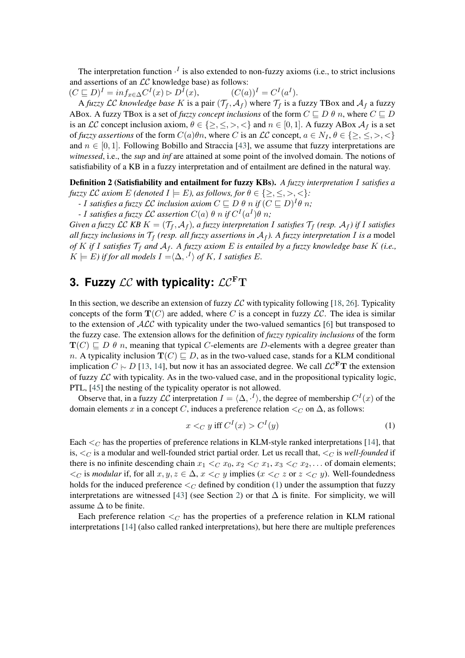The interpretation function  $\cdot^{I}$  is also extended to non-fuzzy axioms (i.e., to strict inclusions and assertions of an  $LC$  knowledge base) as follows:

 $(C \sqsubseteq D)^{I} = inf_{x \in \Delta} C^{I}(x) \rhd D^{I}$ (x),  $(C(a))^I = C^I(a^I).$ 

A *fuzzy*  $LC$  *knowledge base* K is a pair  $(\mathcal{T}_f, \mathcal{A}_f)$  where  $\mathcal{T}_f$  is a fuzzy TBox and  $\mathcal{A}_f$  a fuzzy ABox. A fuzzy TBox is a set of *fuzzy concept inclusions* of the form  $C \sqsubseteq D \theta n$ , where  $C \sqsubseteq D$ is an LC concept inclusion axiom,  $\theta \in \{\geq, \leq, >, <\}$  and  $n \in [0, 1]$ . A fuzzy ABox  $\mathcal{A}_f$  is a set of *fuzzy assertions* of the form  $C(a)\theta n$ , where C is an LC concept,  $a \in N_I$ ,  $\theta \in \{>, \leq, >, <\}$ and  $n \in [0, 1]$ . Following Bobillo and Straccia [\[43\]](#page-14-8), we assume that fuzzy interpretations are *witnessed*, i.e., the *sup* and *inf* are attained at some point of the involved domain. The notions of satisfiability of a KB in a fuzzy interpretation and of entailment are defined in the natural way.

Definition 2 (Satisfiability and entailment for fuzzy KBs). *A fuzzy interpretation satisfies a fuzzy*  $\mathcal{LC}$  *axiom*  $E$  (denoted  $I \models E$ ), as follows, for  $\theta \in \{\geq, \leq, >, <\}$ :

*- I* satisfies a fuzzy  $\mathcal{LC}$  inclusion axiom  $C \sqsubseteq D$   $\theta$  n if  $(C \sqsubseteq D)^{I} \theta$  n;

*- I* satisfies a fuzzy LC assertion  $C(a)$   $\theta$  n if  $C^{I}(a^{I})\theta$  n;

*Given a fuzzy*  $LC$  *KB*  $K = (\mathcal{T}_f, \mathcal{A}_f)$ *, a fuzzy interpretation I satisfies*  $\mathcal{T}_f$  *(resp.*  $\mathcal{A}_f$ *) if I satisfies all fuzzy inclusions in*  $\mathcal{T}_f$  (resp. all fuzzy assertions in  $A_f$ ). A fuzzy interpretation I is a model *of*  $K$  if  $I$  satisfies  $\mathcal{T}_f$  and  $\mathcal{A}_f$ . A fuzzy axiom  $E$  is entailed by a fuzzy knowledge base  $K$  (i.e.,  $K \models E$ ) if for all models  $I = \langle \Delta, \cdot^I \rangle$  of K, I satisfies E.

# **3. Fuzzy**  $LC$  with typicality:  $LC<sup>F</sup>T$

In this section, we describe an extension of fuzzy  $\mathcal{LC}$  with typicality following [\[18,](#page-13-11) [26\]](#page-13-10). Typicality concepts of the form  $\mathbf{T}(C)$  are added, where C is a concept in fuzzy  $\mathcal{LC}$ . The idea is similar to the extension of  $\text{ALC}$  with typicality under the two-valued semantics [\[6\]](#page-12-2) but transposed to the fuzzy case. The extension allows for the definition of *fuzzy typicality inclusions* of the form  $\mathbf{T}(C) \subseteq D$   $\theta$  *n*, meaning that typical C-elements are D-elements with a degree greater than n. A typicality inclusion  $T(C) \sqsubseteq D$ , as in the two-valued case, stands for a KLM conditional implication  $C \sim D$  [\[13,](#page-12-1) [14\]](#page-12-0), but now it has an associated degree. We call  $\mathcal{LC}^{\mathbf{F}}\mathbf{T}$  the extension of fuzzy  $\mathcal{LC}$  with typicality. As in the two-valued case, and in the propositional typicality logic, PTL, [\[45\]](#page-14-10) the nesting of the typicality operator is not allowed.

Observe that, in a fuzzy  $\mathcal{LC}$  interpretation  $I = \langle \Delta, \cdot^I \rangle$ , the degree of membership  $C^I(x)$  of the domain elements x in a concept C, induces a preference relation  $\lt_C$  on  $\Delta$ , as follows:

<span id="page-3-0"></span>
$$
x <_C y \text{ iff } C^I(x) > C^I(y) \tag{1}
$$

Each  $\lt_C$  has the properties of preference relations in KLM-style ranked interpretations [\[14\]](#page-12-0), that is,  $\lt_C$  is a modular and well-founded strict partial order. Let us recall that,  $\lt_C$  is *well-founded* if there is no infinite descending chain  $x_1 \leq_C x_0, x_2 \leq_C x_1, x_3 \leq_C x_2, \ldots$  of domain elements;  $\langle C \rangle$  is *modular* if, for all  $x, y, z \in \Delta$ ,  $x \langle C \rangle y$  implies ( $x \langle C \rangle z$  or  $z \langle C \rangle y$ ). Well-foundedness holds for the induced preference  $\lt_C$  defined by condition [\(1\)](#page-3-0) under the assumption that fuzzy interpretations are witnessed [\[43\]](#page-14-8) (see Section [2\)](#page-1-0) or that  $\Delta$  is finite. For simplicity, we will assume  $\Delta$  to be finite.

Each preference relation  $\lt_C$  has the properties of a preference relation in KLM rational interpretations [\[14\]](#page-12-0) (also called ranked interpretations), but here there are multiple preferences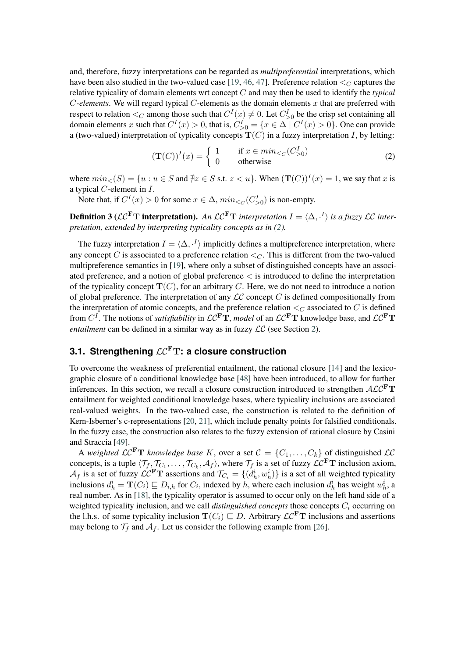and, therefore, fuzzy interpretations can be regarded as *multipreferential* interpretations, which have been also studied in the two-valued case [\[19,](#page-13-2) [46,](#page-14-11) [47\]](#page-14-12). Preference relation  $\leq_C$  captures the relative typicality of domain elements wrt concept  $C$  and may then be used to identify the *typical*  $C$ -elements. We will regard typical  $C$ -elements as the domain elements  $x$  that are preferred with respect to relation  $\lt_C$  among those such that  $C^I(x) \neq 0$ . Let  $C^I_{>0}$  be the crisp set containing all domain elements x such that  $C^{I}(x) > 0$ , that is,  $C_{>0}^{I} = \{x \in \Delta \mid C^{I}(x) > 0\}$ . One can provide a (two-valued) interpretation of typicality concepts  $T(C)$  in a fuzzy interpretation I, by letting:

<span id="page-4-0"></span>
$$
(\mathbf{T}(C))^I(x) = \begin{cases} 1 & \text{if } x \in min_{< C} (C^I_{>0})\\ 0 & \text{otherwise} \end{cases} \tag{2}
$$

where  $min_{<}(S) = \{u : u \in S \text{ and } \nexists z \in S \text{ s.t. } z < u\}$ . When  $(\mathbf{T}(C))^I(x) = 1$ , we say that x is a typical  $C$ -element in  $I$ .

Note that, if  $C^{I}(x) > 0$  for some  $x \in \Delta$ ,  $min_{\leq C} (C_{>0}^{I})$  is non-empty.

**Definition 3** ( $\mathcal{LC}^{\mathbf{F}}\mathbf{T}$  **interpretation**). An  $\mathcal{LC}^{\mathbf{F}}\mathbf{T}$  interpretation  $I = \langle \Delta, \cdot^I \rangle$  is a fuzzy  $\mathcal{LC}$  inter*pretation, extended by interpreting typicality concepts as in [\(2\)](#page-4-0).*

The fuzzy interpretation  $I = \langle \Delta, \cdot^I \rangle$  implicitly defines a multipreference interpretation, where any concept C is associated to a preference relation  $\lt_C$ . This is different from the two-valued multipreference semantics in [\[19\]](#page-13-2), where only a subset of distinguished concepts have an associated preference, and a notion of global preference < is introduced to define the interpretation of the typicality concept  $\mathbf{T}(C)$ , for an arbitrary C. Here, we do not need to introduce a notion of global preference. The interpretation of any  $\mathcal{LC}$  concept C is defined compositionally from the interpretation of atomic concepts, and the preference relation  $\lt_C$  associated to C is defined from  $C^I$ . The notions of *satisfiability* in  $LC^F T$ , *model* of an  $LC^F T$  knowledge base, and  $LC^F T$ *entailment* can be defined in a similar way as in fuzzy  $LC$  (see Section [2\)](#page-1-0).

## **3.1. Strengthening**  $LC<sup>F</sup>T$ **: a closure construction**

To overcome the weakness of preferential entailment, the rational closure [\[14\]](#page-12-0) and the lexicographic closure of a conditional knowledge base [\[48\]](#page-14-13) have been introduced, to allow for further inferences. In this section, we recall a closure construction introduced to strengthen  $\mathcal{ALC}^{\mathbf{F}}\mathbf{T}$ entailment for weighted conditional knowledge bases, where typicality inclusions are associated real-valued weights. In the two-valued case, the construction is related to the definition of Kern-Isberner's c-representations [\[20,](#page-13-0) [21\]](#page-13-1), which include penalty points for falsified conditionals. In the fuzzy case, the construction also relates to the fuzzy extension of rational closure by Casini and Straccia [\[49\]](#page-14-14).

<span id="page-4-1"></span>A *weighted*  $LC^{\mathbf{F}}\mathbf{T}$  *knowledge base* K, over a set  $C = \{C_1, \ldots, C_k\}$  of distinguished  $LC$ concepts, is a tuple  $\langle \mathcal{T}_f, \mathcal{T}_{C_1}, \dots, \mathcal{T}_{C_k}, \mathcal{A}_f \rangle$ , where  $\mathcal{T}_f$  is a set of fuzzy  $\mathcal{LC}^F \mathbf{T}$  inclusion axiom,  $A_f$  is a set of fuzzy  $\mathcal{LC}^F T$  assertions and  $\mathcal{T}_{C_i} = \{(d_h^i, w_h^i)\}\$ is a set of all weighted typicality inclusions  $d_h^i = \mathbf{T}(C_i) \sqsubseteq D_{i,h}$  for  $C_i$ , indexed by h, where each inclusion  $d_h^i$  has weight  $w_h^i$ , a real number. As in [\[18\]](#page-13-11), the typicality operator is assumed to occur only on the left hand side of a weighted typicality inclusion, and we call *distinguished concepts* those concepts  $C_i$  occurring on the l.h.s. of some typicality inclusion  $T(C_i) \sqsubseteq D$ . Arbitrary  $\mathcal{LC}^F T$  inclusions and assertions may belong to  $\mathcal{T}_f$  and  $\mathcal{A}_f$ . Let us consider the following example from [\[26\]](#page-13-10).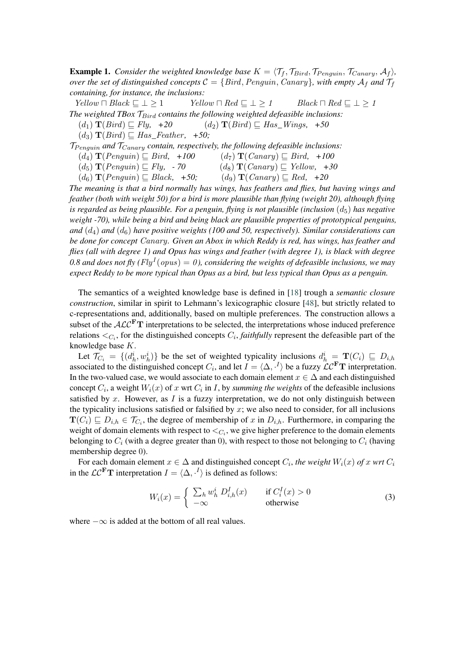**Example 1.** Consider the weighted knowledge base  $K = \langle \mathcal{T}_f, \mathcal{T}_{Bird}, \mathcal{T}_{Penguin}, \mathcal{T}_{Canary}, \mathcal{A}_f \rangle$ , *over the set of distinguished concepts*  $C = \{Bird, Penguin, Canary\}$ *, with empty*  $A_f$  and  $T_f$ *containing, for instance, the inclusions:*

 $Yellow \sqcap Black \sqsubseteq \bot \geq 1$   $Yellow \sqcap Red \sqsubseteq \bot \geq 1$   $Black \sqcap Red \sqsubseteq \bot \geq 1$ *The weighted TBox*  $\mathcal{T}_{Bird}$  contains the following weighted defeasible inclusions:<br>(d<sub>1</sub>)  $\mathbf{T}(Bird) \sqsubseteq Fly$ , +20 (d<sub>2</sub>)  $\mathbf{T}(Bird) \sqsubseteq Has\_Wings$ , +50

 $(d_2)$  **T**(*Bird*)  $\Box$  *Has Wings, +50* 

 $(d_3)$  **T**(*Bird*)  $\Box$  *Has Feather, +50;* 

 $T_{Penouin}$  and  $T_{Canary}$  contain, respectively, the following defeasible inclusions:

 $(d_4)$   $\mathbf{T}(Penguin) \sqsubseteq Bird$ , +100  $(d_7)$   $\mathbf{T}(Canary) \sqsubseteq Bird$ , +100

 $(d_5)$   $\mathbf{T}(Penguin) \sqsubseteq Fly, -70$   $(d_8)$   $\mathbf{T}(Canary) \sqsubseteq Yellow, +30$ 

 $(d_6)$   $\mathbf{T}(Penguin) \sqsubseteq Black, +50;$   $(d_9)$   $\mathbf{T}(Canary) \sqsubseteq Red, +20$ 

*The meaning is that a bird normally has wings, has feathers and flies, but having wings and feather (both with weight 50) for a bird is more plausible than flying (weight 20), although flying is regarded as being plausible. For a penguin, flying is not plausible (inclusion*  $(d_5)$ ) *has negative weight -70), while being a bird and being black are plausible properties of prototypical penguins,* and  $(d_4)$  and  $(d_6)$  have positive weights (100 and 50, respectively). Similar considerations can *be done for concept* Canary*. Given an Abox in which Reddy is red, has wings, has feather and flies (all with degree 1) and Opus has wings and feather (with degree 1), is black with degree* 0.8 and does not fly ( $Fly^{I}(opus) = 0$ ), considering the weights of defeasible inclusions, we may *expect Reddy to be more typical than Opus as a bird, but less typical than Opus as a penguin.*

The semantics of a weighted knowledge base is defined in [\[18\]](#page-13-11) trough a *semantic closure construction*, similar in spirit to Lehmann's lexicographic closure [\[48\]](#page-14-13), but strictly related to c-representations and, additionally, based on multiple preferences. The construction allows a subset of the  $\widehat{ALC}^{\textbf{F}}$ T interpretations to be selected, the interpretations whose induced preference relations  $\langle C_i, f \rangle$  for the distinguished concepts  $C_i$ , *faithfully* represent the defeasible part of the knowledge base  $K$ .

Let  $\mathcal{T}_{C_i} = \{(d_h^i, w_h^i)\}\$ be the set of weighted typicality inclusions  $d_h^i = \mathbf{T}(C_i) \subseteq D_{i,h}$ associated to the distinguished concept  $C_i$ , and let  $I = \langle \Delta, \cdot^I \rangle$  be a fuzzy  $\mathcal{LC}^F T$  interpretation. In the two-valued case, we would associate to each domain element  $x \in \Delta$  and each distinguished concept  $C_i$ , a weight  $W_i(x)$  of  $x$  wrt  $C_i$  in  $I$ , by *summing the weights* of the defeasible inclusions satisfied by x. However, as  $I$  is a fuzzy interpretation, we do not only distinguish between the typicality inclusions satisfied or falsified by  $x$ ; we also need to consider, for all inclusions  $\mathbf{T}(C_i) \sqsubseteq D_{i,h} \in \mathcal{T}_{C_i}$ , the degree of membership of x in  $D_{i,h}$ . Furthermore, in comparing the weight of domain elements with respect to  $\langle C_i,$  we give higher preference to the domain elements belonging to  $C_i$  (with a degree greater than 0), with respect to those not belonging to  $C_i$  (having membership degree 0).

For each domain element  $x \in \Delta$  and distinguished concept  $C_i$ , the weight  $W_i(x)$  of x wrt  $C_i$ in the  $\mathcal{LC}^{\mathbf{F}}\mathbf{T}$  interpretation  $I = \langle \Delta, \cdot^I \rangle$  is defined as follows:

$$
W_i(x) = \begin{cases} \sum_h w_h^i D_{i,h}^I(x) & \text{if } C_i^I(x) > 0\\ -\infty & \text{otherwise} \end{cases}
$$
 (3)

where  $-\infty$  is added at the bottom of all real values.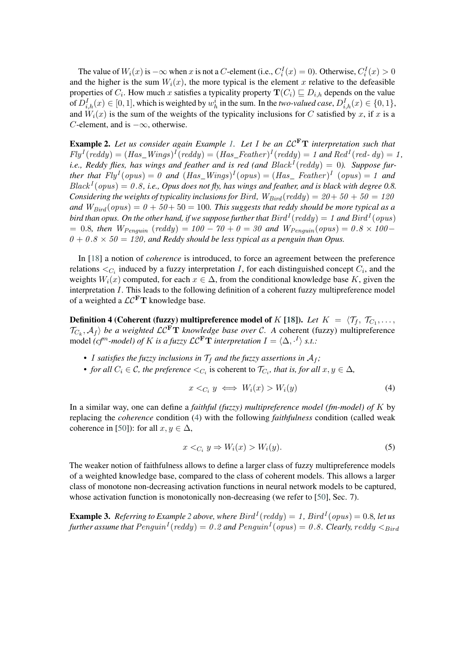The value of  $W_i(x)$  is  $-\infty$  when x is not a C-element (i.e.,  $C_i^I(x) = 0$ ). Otherwise,  $C_i^I(x) > 0$ and the higher is the sum  $W_i(x)$ , the more typical is the element x relative to the defeasible properties of  $C_i$ . How much x satisfies a typicality property  $\mathbf{T}(C_i) \sqsubseteq D_{i,h}$  depends on the value of  $D_{i,h}^I(x) \in [0,1]$ , which is weighted by  $w_h^i$  in the sum. In the *two-valued case*,  $D_{i,h}^I(x) \in \{0,1\}$ , and  $W_i(x)$  is the sum of the weights of the typicality inclusions for C satisfied by x, if x is a  $C$ -element, and is  $-\infty$ , otherwise.

<span id="page-6-1"></span>**Example 2.** Let us consider again Example [1.](#page-4-1) Let I be an  $LC<sup>F</sup>T$  interpretation such that  $Fly^{I}(reddy) = (Has\_Wings)^{I}(reddy) = (Has\_Feather)^{I}(reddy) = 1$  and  $Red^{I}(red \cdot dy) = 1$ , *i.e., Reddy flies, has wings and feather and is red (and*  $Black^I (reddy) = 0$ *). Suppose further that*  $Fly^{I}(opus) = 0$  *and*  $(Has_Wings)^{I}(opus) = (Has_{A}$  Feather)<sup>I</sup> (opus) = 1 *and*  $Black<sup>I</sup>(opus) = 0.8$ , i.e., Opus does not fly, has wings and feather, and is black with degree 0.8. *Considering the weights of typicality inclusions for Bird,*  $W_{Bird}(reddy) = 20 + 50 + 50 = 120$ *and*  $W_{Bird}(opus) = 0 + 50 + 50 = 100$ . This suggests that reddy should be more typical as a bird than opus. On the other hand, if we suppose further that  $Bird^I(\mathit{reddy}) = 1$  and  $Bird^I(\mathit{opus})$  $= 0.8$ *, then*  $W_{Penquin}$  (reddy) = 100 − 70 + 0 = 30 and  $W_{Penquin}(opus) = 0.8 \times 100$ −  $0 + 0.8 \times 50 = 120$ , and Reddy should be less typical as a penguin than Opus.

In [\[18\]](#page-13-11) a notion of *coherence* is introduced, to force an agreement between the preference relations  $\leq_{C_i}$  induced by a fuzzy interpretation *I*, for each distinguished concept  $C_i$ , and the weights  $W_i(x)$  computed, for each  $x \in \Delta$ , from the conditional knowledge base K, given the interpretation  $I$ . This leads to the following definition of a coherent fuzzy multipreference model of a weighted a  $\mathcal{LC}^{\mathbf{F}}$ T knowledge base.

<span id="page-6-2"></span>Definition 4 (Coherent (fuzzy) multipreference model of  $K$  [\[18\]](#page-13-11)). Let  $K~=~\langle \mathcal{T}_f,~\mathcal{T}_{C_1}, \ldots,$  $\langle \mathcal{T}_{C_k}, \mathcal{A}_f \rangle$  *be a weighted*  $\mathcal{LC}^{\mathbf{F}}\mathbf{T}$  *knowledge base over*  $\mathcal{C}$ . A coherent (fuzzy) multipreference model *(cf<sup>m</sup>-model) of K* is a fuzzy  $\mathcal{LC}^{\mathbf{F}}\mathbf{T}$  interpretation  $I = \langle \Delta, \cdot^I \rangle$  s.t.:

- *I satisfies the fuzzy inclusions in*  $\mathcal{T}_f$  *and the fuzzy assertions in*  $\mathcal{A}_f$ *;*
- *for all*  $C_i \in \mathcal{C}$ *, the preference*  $\langle C_i \rangle$  is coherent to  $\mathcal{T}_{C_i}$ *, that is, for all*  $x, y \in \Delta$ *,*

<span id="page-6-0"></span>
$$
x <_{C_i} y \iff W_i(x) > W_i(y) \tag{4}
$$

In a similar way, one can define a *faithful (fuzzy) multipreference model (fm-model) of* by replacing the *coherence* condition [\(4\)](#page-6-0) with the following *faithfulness* condition (called weak coherence in [\[50\]](#page-14-15)): for all  $x, y \in \Delta$ ,

$$
x <_{C_i} y \Rightarrow W_i(x) > W_i(y). \tag{5}
$$

The weaker notion of faithfulness allows to define a larger class of fuzzy multipreference models of a weighted knowledge base, compared to the class of coherent models. This allows a larger class of monotone non-decreasing activation functions in neural network models to be captured, whose activation function is monotonically non-decreasing (we refer to [\[50\]](#page-14-15), Sec. 7).

**Example 3.** Referring to Example [2](#page-6-1) above, where  $Bird<sup>I</sup>(reddy) = 1$ ,  $Bird<sup>I</sup>(opus) = 0.8$ , let us further assume that  $Penguin^{I}(reddy)=0.2$  and  $Penguin^{I}(opus)=0.8$  . Clearly,  $reddy<_{Bird}$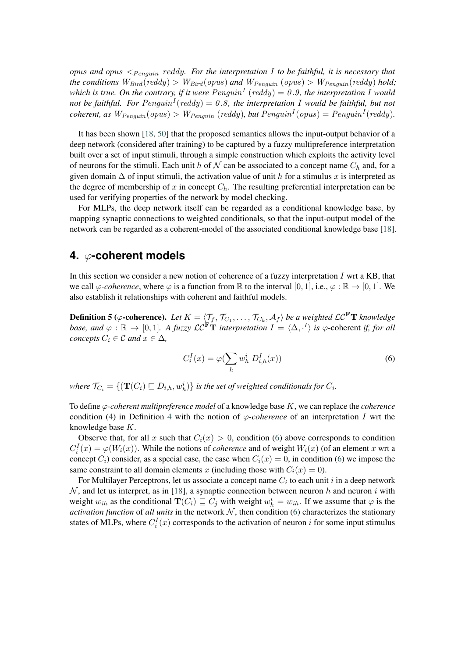*and* < *. For the interpretation to be faithful, it is necessary that the conditions*  $W_{Bird}(reddy) > W_{Bird}(opus)$  *and*  $W_{Penquin}(opus) > W_{Penquin}(reddy)$  *hold*; which is true. On the contrary, if it were  $Penguin<sup>I</sup>$  (reddy)  $= 0.9$ , the interpretation I would not be faithful. For  $Penguin^{I}(reddy) = 0.8$ , the interpretation I would be faithful, but not  $\mathit{coherent}, \mathit{as}\ W_{Penguin}(opus) > W_{Penguin}(reddy), \mathit{but}\ Penguin^{I}(opus) = Penguin^{I}(reddy).$ 

It has been shown [\[18,](#page-13-11) [50\]](#page-14-15) that the proposed semantics allows the input-output behavior of a deep network (considered after training) to be captured by a fuzzy multipreference interpretation built over a set of input stimuli, through a simple construction which exploits the activity level of neurons for the stimuli. Each unit h of N can be associated to a concept name  $C_h$  and, for a given domain  $\Delta$  of input stimuli, the activation value of unit h for a stimulus x is interpreted as the degree of membership of x in concept  $C_h$ . The resulting preferential interpretation can be used for verifying properties of the network by model checking.

For MLPs, the deep network itself can be regarded as a conditional knowledge base, by mapping synaptic connections to weighted conditionals, so that the input-output model of the network can be regarded as a coherent-model of the associated conditional knowledge base [\[18\]](#page-13-11).

#### <span id="page-7-0"></span>**4. -coherent models**

In this section we consider a new notion of coherence of a fuzzy interpretation  $I$  wrt a KB, that we call  $\varphi$ -coherence, where  $\varphi$  is a function from R to the interval [0, 1], i.e.,  $\varphi : \mathbb{R} \to [0, 1]$ . We also establish it relationships with coherent and faithful models.

**Definition 5** ( $\varphi$ -coherence). Let  $K = \langle \mathcal{T}_f, \mathcal{T}_{C_1}, \ldots, \mathcal{T}_{C_k}, \mathcal{A}_f \rangle$  be a weighted  $\mathcal{LC}^{\mathbf{F}}\mathbf{T}$  knowledge *base, and*  $\varphi : \mathbb{R} \to [0,1]$ *. A fuzzy*  $\mathcal{LC}^{\mathbf{F}}\mathbf{T}$  *interpretation*  $I = \langle \Delta, \cdot^I \rangle$  *is*  $\varphi$ -coherent *if, for all concepts*  $C_i \in \mathcal{C}$  *and*  $x \in \Delta$ *,* 

<span id="page-7-1"></span>
$$
C_i^I(x) = \varphi(\sum_h w_h^i D_{i,h}^I(x))
$$
\n(6)

where  $\mathcal{T}_{C_i} = \{ (\mathbf{T}(C_i) \sqsubseteq D_{i,h}, w_h^i) \}$  is the set of weighted conditionals for  $C_i$ .

To define  $\varphi$ -coherent multipreference model of a knowledge base  $K$ , we can replace the *coherence* condition [\(4\)](#page-6-0) in Definition [4](#page-6-2) with the notion of  $\varphi$ -coherence of an interpretation I wrt the knowledge base  $K$ .

Observe that, for all x such that  $C_i(x) > 0$ , condition [\(6\)](#page-7-1) above corresponds to condition  $C_i^I(x) = \varphi(W_i(x))$ . While the notions of *coherence* and of weight  $W_i(x)$  (of an element x wrt a concept  $C_i$ ) consider, as a special case, the case when  $C_i(x) = 0$ , in condition [\(6\)](#page-7-1) we impose the same constraint to all domain elements x (including those with  $C_i(x) = 0$ ).

For Multilayer Perceptrons, let us associate a concept name  $C_i$  to each unit  $i$  in a deep network  $N$ , and let us interpret, as in [\[18\]](#page-13-11), a synaptic connection between neuron h and neuron i with weight  $w_{ih}$  as the conditional  $\mathbf{T}(C_i) \sqsubseteq C_j$  with weight  $w_h^i = w_{ih}$ . If we assume that  $\varphi$  is the *activation function* of *all units* in the network  $N$ , then condition [\(6\)](#page-7-1) characterizes the stationary states of MLPs, where  $C_i^I(x)$  corresponds to the activation of neuron i for some input stimulus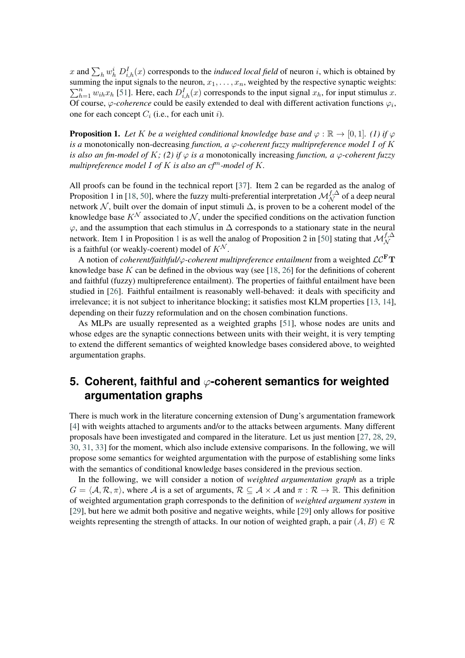x and  $\sum_h w_h^i D_{i,h}^I(x)$  corresponds to the *induced local field* of neuron *i*, which is obtained by summing the input signals to the neuron,  $x_1, \ldots, x_n$ , weighted by the respective synaptic weights:  $\sum_{h=1}^{n} w_{ih} x_h$  [\[51\]](#page-14-16). Here, each  $D_{i,h}^I(x)$  corresponds to the input signal  $x_h$ , for input stimulus  $x$ . Of course,  $\varphi$ -coherence could be easily extended to deal with different activation functions  $\varphi_i$ , one for each concept  $C_i$  (i.e., for each unit i).

<span id="page-8-1"></span>**Proposition 1.** Let K be a weighted conditional knowledge base and  $\varphi : \mathbb{R} \to [0,1]$ . (1) if  $\varphi$ *is a* monotonically non-decreasing *function, a*  $\varphi$ -coherent *fuzzy multipreference model* I of K *is also an fm-model of K; (2) if*  $\varphi$  *is a* monotonically increasing *function, a*  $\varphi$ -*coherent fuzzy multipreference model*  $I$  *of*  $K$  *is also an cf*<sup> $m$ </sup>-model of  $K$ .

All proofs can be found in the technical report [\[37\]](#page-14-2). Item 2 can be regarded as the analog of Proposition 1 in [\[18,](#page-13-11) [50\]](#page-14-15), where the fuzzy multi-preferential interpretation  $\mathcal{M}_{\mathcal{N}}^{f,\Delta}$  of a deep neural network  $N$ , built over the domain of input stimuli  $\Delta$ , is proven to be a coherent model of the knowledge base  $K^{\mathcal{N}}$  associated to  $\mathcal{N}$ , under the specified conditions on the activation function  $\varphi$ , and the assumption that each stimulus in  $\Delta$  corresponds to a stationary state in the neural network. Item [1](#page-8-1) in Proposition 1 is as well the analog of Proposition 2 in [\[50\]](#page-14-15) stating that  $\mathcal{M}_{\mathcal{N}}^{f,\Delta}$ is a faithful (or weakly-coerent) model of  $K^N$ .

A notion of *coherent/faithful/* $\varphi$ *-coherent multipreference entailment* from a weighted  $\mathcal{LC}^{\mathbf{F}}\mathbf{T}$ knowledge base  $K$  can be defined in the obvious way (see [\[18,](#page-13-11) [26\]](#page-13-10) for the definitions of coherent and faithful (fuzzy) multipreference entailment). The properties of faithful entailment have been studied in [\[26\]](#page-13-10). Faithful entailment is reasonably well-behaved: it deals with specificity and irrelevance; it is not subject to inheritance blocking; it satisfies most KLM properties [\[13,](#page-12-1) [14\]](#page-12-0), depending on their fuzzy reformulation and on the chosen combination functions.

As MLPs are usually represented as a weighted graphs [\[51\]](#page-14-16), whose nodes are units and whose edges are the synaptic connections between units with their weight, it is very tempting to extend the different semantics of weighted knowledge bases considered above, to weighted argumentation graphs.

# <span id="page-8-0"></span>**5. Coherent, faithful and**  $\varphi$ **-coherent semantics for weighted argumentation graphs**

There is much work in the literature concerning extension of Dung's argumentation framework [\[4\]](#page-12-3) with weights attached to arguments and/or to the attacks between arguments. Many different proposals have been investigated and compared in the literature. Let us just mention [\[27,](#page-13-12) [28,](#page-13-13) [29,](#page-13-14) [30,](#page-13-15) [31,](#page-13-16) [33\]](#page-13-18) for the moment, which also include extensive comparisons. In the following, we will propose some semantics for weighted argumentation with the purpose of establishing some links with the semantics of conditional knowledge bases considered in the previous section.

In the following, we will consider a notion of *weighted argumentation graph* as a triple  $G = \langle A, \mathcal{R}, \pi \rangle$ , where A is a set of arguments,  $\mathcal{R} \subseteq A \times A$  and  $\pi : \mathcal{R} \to \mathbb{R}$ . This definition of weighted argumentation graph corresponds to the definition of *weighted argument system* in [\[29\]](#page-13-14), but here we admit both positive and negative weights, while [\[29\]](#page-13-14) only allows for positive weights representing the strength of attacks. In our notion of weighted graph, a pair  $(A, B) \in \mathcal{R}$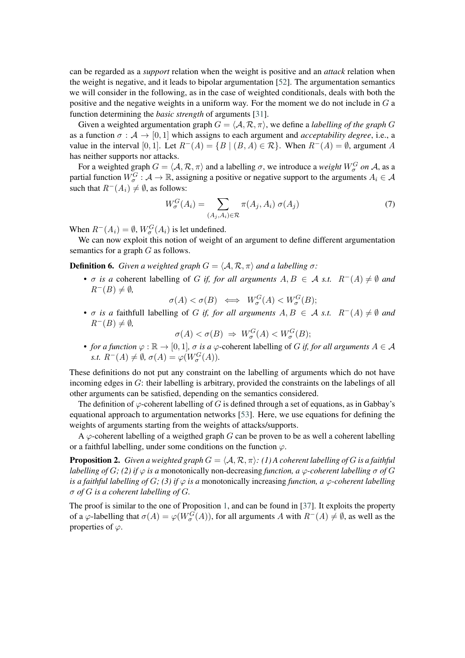can be regarded as a *support* relation when the weight is positive and an *attack* relation when the weight is negative, and it leads to bipolar argumentation [\[52\]](#page-14-17). The argumentation semantics we will consider in the following, as in the case of weighted conditionals, deals with both the positive and the negative weights in a uniform way. For the moment we do not include in  $G$  a function determining the *basic strength* of arguments [\[31\]](#page-13-16).

Given a weighted argumentation graph  $G = \langle A, \mathcal{R}, \pi \rangle$ , we define a *labelling of the graph* G as a function  $\sigma : A \to [0, 1]$  which assigns to each argument and *acceptability degree*, i.e., a value in the interval [0, 1]. Let  $R^{-}(A) = \{B \mid (B, A) \in \mathcal{R}\}\$ . When  $R^{-}(A) = \emptyset$ , argument A has neither supports nor attacks.

For a weighted graph  $G = \langle A, \mathcal{R}, \pi \rangle$  and a labelling  $\sigma$ , we introduce a *weight*  $W_{\sigma}^G$  on A, as a partial function  $W^G_\sigma : A \to \mathbb{R}$ , assigning a positive or negative support to the arguments  $A_i \in \mathcal{A}$ such that  $R^{-}(A_i) \neq \emptyset$ , as follows:

$$
W_{\sigma}^{G}(A_i) = \sum_{(A_j, A_i) \in \mathcal{R}} \pi(A_j, A_i) \sigma(A_j)
$$
\n(7)

When  $R^-(A_i) = \emptyset$ ,  $W^G_{\sigma}(A_i)$  is let undefined.

We can now exploit this notion of weight of an argument to define different argumentation semantics for a graph  $G$  as follows.

**Definition 6.** *Given a weighted graph*  $G = \langle A, \mathcal{R}, \pi \rangle$  *and a labelling*  $\sigma$ :

•  $\sigma$  *is a* coherent labelling of *G if, for all arguments*  $A, B \in \mathcal{A}$  *s.t.*  $R^{-}(A) \neq \emptyset$  *and*  $R^{-}(B) \neq \emptyset$ ,

 $\sigma(A) < \sigma(B) \iff W_{\sigma}^{G}(A) < W_{\sigma}^{G}(B);$ 

*•*  $\sigma$  is a faithfull labelling of *G* if, for all arguments  $A, B \in \mathcal{A}$  s.t.  $R^{-}(A) \neq \emptyset$  and  $R^{-}(B) \neq \emptyset$ ,

$$
\sigma(A) < \sigma(B) \Rightarrow W^G_\sigma(A) < W^G_\sigma(B);
$$

• *for a function*  $\varphi : \mathbb{R} \to [0, 1]$ *,*  $\sigma$  *is a*  $\varphi$ -coherent labelling of *G if, for all arguments*  $A \in \mathcal{A}$ *s.t.*  $R^-(A) \neq \emptyset$ ,  $\sigma(A) = \varphi(W^G_{\sigma}(A)).$ 

These definitions do not put any constraint on the labelling of arguments which do not have incoming edges in  $G$ : their labelling is arbitrary, provided the constraints on the labelings of all other arguments can be satisfied, depending on the semantics considered.

The definition of  $\varphi$ -coherent labelling of G is defined through a set of equations, as in Gabbay's equational approach to argumentation networks [\[53\]](#page-14-18). Here, we use equations for defining the weights of arguments starting from the weights of attacks/supports.

A  $\varphi$ -coherent labelling of a weigthed graph G can be proven to be as well a coherent labelling or a faithful labelling, under some conditions on the function  $\varphi$ .

**Proposition 2.** *Given a weighted graph*  $G = \langle A, \mathcal{R}, \pi \rangle$ : (1) A coherent labelling of G is a faithful *labelling of*  $G$ ; (2) if  $\varphi$  is a monotonically non-decreasing function, a  $\varphi$ -coherent labelling  $\sigma$  of  $G$ *is a faithful labelling of G; (3) if*  $\varphi$  *is a* monotonically increasing *function, a*  $\varphi$ -*coherent labelling*  $\sigma$  *of*  $G$  *is a coherent labelling of*  $G$ *.* 

The proof is similar to the one of Proposition [1,](#page-8-1) and can be found in [\[37\]](#page-14-2). It exploits the property of a  $\varphi$ -labelling that  $\sigma(A) = \varphi(W_{\sigma}^{G}(A))$ , for all arguments A with  $R^{-}(A) \neq \emptyset$ , as well as the properties of  $\varphi$ .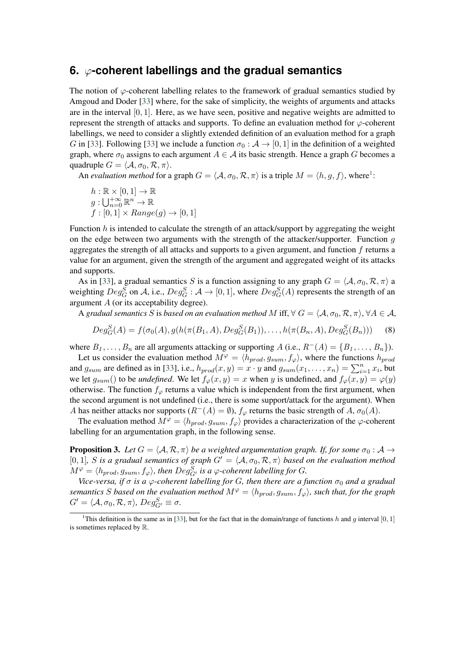#### <span id="page-10-0"></span>**6. -coherent labellings and the gradual semantics**

The notion of  $\varphi$ -coherent labelling relates to the framework of gradual semantics studied by Amgoud and Doder [\[33\]](#page-13-18) where, for the sake of simplicity, the weights of arguments and attacks are in the interval  $[0, 1]$ . Here, as we have seen, positive and negative weights are admitted to represent the strength of attacks and supports. To define an evaluation method for  $\varphi$ -coherent labellings, we need to consider a slightly extended definition of an evaluation method for a graph G in [\[33\]](#page-13-18). Following [33] we include a function  $\sigma_0 : A \to [0, 1]$  in the definition of a weighted graph, where  $\sigma_0$  assigns to each argument  $A \in \mathcal{A}$  its basic strength. Hence a graph G becomes a quadruple  $G = \langle A, \sigma_0, \mathcal{R}, \pi \rangle$ .

An *evaluation method* for a graph  $G = \langle A, \sigma_0, \mathcal{R}, \pi \rangle$  is a triple  $M = \langle h, g, f \rangle$ , where<sup>[1](#page-10-1)</sup>:

$$
h: \mathbb{R} \times [0,1] \to \mathbb{R}
$$
  

$$
g: \bigcup_{n=0}^{+\infty} \mathbb{R}^n \to \mathbb{R}
$$
  

$$
f: [0,1] \times Range(g) \to [0,1]
$$

Function  $h$  is intended to calculate the strength of an attack/support by aggregating the weight on the edge between two arguments with the strength of the attacker/supporter. Function  $g$ aggregates the strength of all attacks and supports to a given argument, and function  $f$  returns a value for an argument, given the strength of the argument and aggregated weight of its attacks and supports.

As in [\[33\]](#page-13-18), a gradual semantics S is a function assigning to any graph  $G = \langle A, \sigma_0, \mathcal{R}, \pi \rangle$  a weighting  $Deg_G^S$  on A, i.e.,  $Deg_G^S: A \to [0,1]$ , where  $Deg_G^S(A)$  represents the strength of an argument  $A$  (or its acceptability degree).

A gradual semantics S is based on an evaluation method M iff,  $\forall G = \langle A, \sigma_0, \mathcal{R}, \pi \rangle, \forall A \in \mathcal{A}$ ,

$$
Deg_G^S(A) = f(\sigma_0(A), g(h(\pi(B_1, A), Deg_G^S(B_1)), \dots, h(\pi(B_n, A), Deg_G^S(B_n)))
$$
 (8)

where  $B_1, \ldots, B_n$  are all arguments attacking or supporting  $A$  (i.e.,  $R^-(A) = \{B_1, \ldots, B_n\}$ ).

Let us consider the evaluation method  $M^{\varphi} = \langle h_{prod}, g_{sum}, f_{\varphi} \rangle$ , where the functions  $h_{prod}$ and  $g_{sum}$  are defined as in [\[33\]](#page-13-18), i.e.,  $h_{prod}(x, y) = x \cdot y$  and  $g_{sum}(x_1, \ldots, x_n) = \sum_{i=1}^n x_i$ , but we let  $g_{sum}()$  to be *undefined*. We let  $f_{\varphi}(x, y) = x$  when y is undefined, and  $f_{\varphi}(x, y) = \varphi(y)$ otherwise. The function  $f_{\varphi}$  returns a value which is independent from the first argument, when the second argument is not undefined (i.e., there is some support/attack for the argument). When A has neither attacks nor supports ( $R^{-}(A) = \emptyset$ ),  $f_{\varphi}$  returns the basic strength of A,  $\sigma_{0}(A)$ .

The evaluation method  $M^{\varphi} = \langle h_{prod}, g_{sum}, f_{\varphi} \rangle$  provides a characterization of the  $\varphi$ -coherent labelling for an argumentation graph, in the following sense.

**Proposition 3.** Let  $G = \langle A, R, \pi \rangle$  be a weighted argumentation graph. If, for some  $\sigma_0 : A \rightarrow$ [0, 1], *S* is a gradual semantics of graph  $G' = \langle A, \sigma_0, R, \pi \rangle$  based on the evaluation method  $M^{\varphi} = \langle h_{prod}, g_{sum}, f_{\varphi} \rangle$ , then  $Deg_{G'}^{S}$  is a  $\varphi$ -coherent labelling for G.

*Vice-versa, if*  $\sigma$  *is a*  $\varphi$ -coherent labelling for G, then there are a function  $\sigma_0$  and a gradual *semantics S* based on the evaluation method  $M^{\varphi} = \langle h_{prod}, g_{sum}, f_{\varphi} \rangle$ , such that, for the graph  $G' = \langle A, \sigma_0, \mathcal{R}, \pi \rangle$ ,  $Deg_{G'}^S \equiv \sigma$ .

<span id="page-10-1"></span><sup>&</sup>lt;sup>1</sup>This definition is the same as in [\[33\]](#page-13-18), but for the fact that in the domain/range of functions h and q interval [0, 1] is sometimes replaced by R.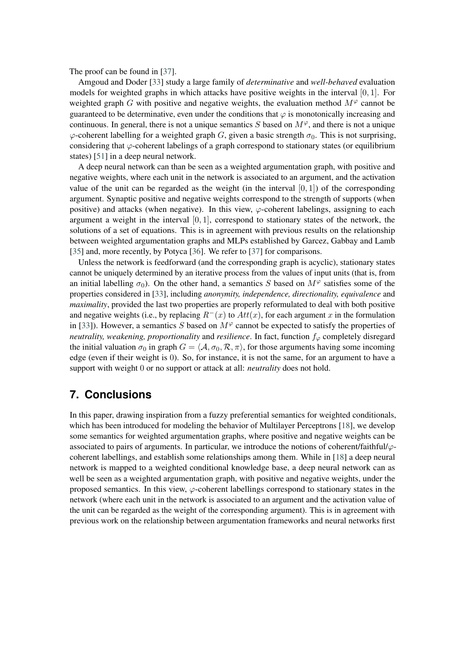The proof can be found in [\[37\]](#page-14-2).

Amgoud and Doder [\[33\]](#page-13-18) study a large family of *determinative* and *well-behaved* evaluation models for weighted graphs in which attacks have positive weights in the interval  $[0, 1]$ . For weighted graph G with positive and negative weights, the evaluation method  $M^{\varphi}$  cannot be guaranteed to be determinative, even under the conditions that  $\varphi$  is monotonically increasing and continuous. In general, there is not a unique semantics S based on  $M^{\varphi}$ , and there is not a unique  $\varphi$ -coherent labelling for a weighted graph G, given a basic strength  $\sigma_0$ . This is not surprising, considering that  $\varphi$ -coherent labelings of a graph correspond to stationary states (or equilibrium states) [\[51\]](#page-14-16) in a deep neural network.

A deep neural network can than be seen as a weighted argumentation graph, with positive and negative weights, where each unit in the network is associated to an argument, and the activation value of the unit can be regarded as the weight (in the interval  $[0, 1]$ ) of the corresponding argument. Synaptic positive and negative weights correspond to the strength of supports (when positive) and attacks (when negative). In this view,  $\varphi$ -coherent labelings, assigning to each argument a weight in the interval  $[0, 1]$ , correspond to stationary states of the network, the solutions of a set of equations. This is in agreement with previous results on the relationship between weighted argumentation graphs and MLPs established by Garcez, Gabbay and Lamb [\[35\]](#page-14-0) and, more recently, by Potyca [\[36\]](#page-14-1). We refer to [\[37\]](#page-14-2) for comparisons.

Unless the network is feedforward (and the corresponding graph is acyclic), stationary states cannot be uniquely determined by an iterative process from the values of input units (that is, from an initial labelling  $\sigma_0$ ). On the other hand, a semantics S based on  $M^{\varphi}$  satisfies some of the properties considered in [\[33\]](#page-13-18), including *anonymity, independence, directionality, equivalence* and *maximality*, provided the last two properties are properly reformulated to deal with both positive and negative weights (i.e., by replacing  $R^{-}(x)$  to  $Att(x)$ , for each argument x in the formulation in [\[33\]](#page-13-18)). However, a semantics S based on  $M^{\varphi}$  cannot be expected to satisfy the properties of *neutrality, weakening, proportionality* and *resilience*. In fact, function  $f_{\varphi}$  completely disregard the initial valuation  $\sigma_0$  in graph  $G = \langle A, \sigma_0, \mathcal{R}, \pi \rangle$ , for those arguments having some incoming edge (even if their weight is 0). So, for instance, it is not the same, for an argument to have a support with weight 0 or no support or attack at all: *neutrality* does not hold.

## <span id="page-11-0"></span>**7. Conclusions**

In this paper, drawing inspiration from a fuzzy preferential semantics for weighted conditionals, which has been introduced for modeling the behavior of Multilayer Perceptrons [\[18\]](#page-13-11), we develop some semantics for weighted argumentation graphs, where positive and negative weights can be associated to pairs of arguments. In particular, we introduce the notions of coherent/faithful/ $\varphi$ coherent labellings, and establish some relationships among them. While in [\[18\]](#page-13-11) a deep neural network is mapped to a weighted conditional knowledge base, a deep neural network can as well be seen as a weighted argumentation graph, with positive and negative weights, under the proposed semantics. In this view,  $\varphi$ -coherent labellings correspond to stationary states in the network (where each unit in the network is associated to an argument and the activation value of the unit can be regarded as the weight of the corresponding argument). This is in agreement with previous work on the relationship between argumentation frameworks and neural networks first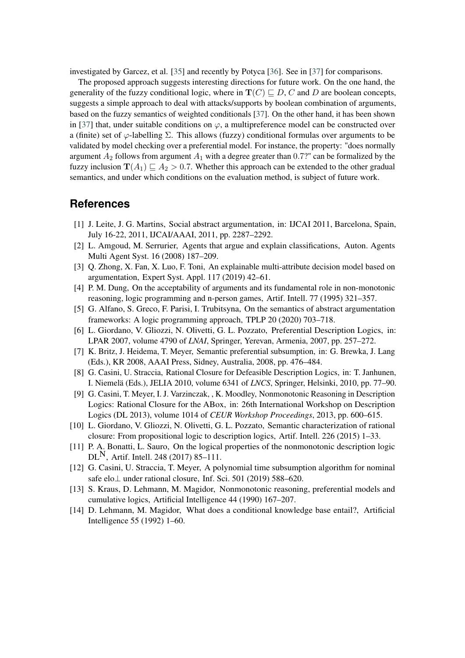investigated by Garcez, et al. [\[35\]](#page-14-0) and recently by Potyca [\[36\]](#page-14-1). See in [\[37\]](#page-14-2) for comparisons.

The proposed approach suggests interesting directions for future work. On the one hand, the generality of the fuzzy conditional logic, where in  $T(C) \sqsubseteq D$ , C and D are boolean concepts, suggests a simple approach to deal with attacks/supports by boolean combination of arguments, based on the fuzzy semantics of weighted conditionals [\[37\]](#page-14-2). On the other hand, it has been shown in [\[37\]](#page-14-2) that, under suitable conditions on  $\varphi$ , a multipreference model can be constructed over a (finite) set of  $\varphi$ -labelling  $\Sigma$ . This allows (fuzzy) conditional formulas over arguments to be validated by model checking over a preferential model. For instance, the property: "does normally argument  $A_2$  follows from argument  $A_1$  with a degree greater than 0.7?" can be formalized by the fuzzy inclusion  $\mathbf{T}(A_1) \sqsubseteq A_2 > 0.7$ . Whether this approach can be extended to the other gradual semantics, and under which conditions on the evaluation method, is subject of future work.

#### **References**

- [1] J. Leite, J. G. Martins, Social abstract argumentation, in: IJCAI 2011, Barcelona, Spain, July 16-22, 2011, IJCAI/AAAI, 2011, pp. 2287–2292.
- [2] L. Amgoud, M. Serrurier, Agents that argue and explain classifications, Auton. Agents Multi Agent Syst. 16 (2008) 187–209.
- [3] Q. Zhong, X. Fan, X. Luo, F. Toni, An explainable multi-attribute decision model based on argumentation, Expert Syst. Appl. 117 (2019) 42–61.
- <span id="page-12-3"></span>[4] P. M. Dung, On the acceptability of arguments and its fundamental role in non-monotonic reasoning, logic programming and n-person games, Artif. Intell. 77 (1995) 321–357.
- [5] G. Alfano, S. Greco, F. Parisi, I. Trubitsyna, On the semantics of abstract argumentation frameworks: A logic programming approach, TPLP 20 (2020) 703–718.
- <span id="page-12-2"></span>[6] L. Giordano, V. Gliozzi, N. Olivetti, G. L. Pozzato, Preferential Description Logics, in: LPAR 2007, volume 4790 of *LNAI*, Springer, Yerevan, Armenia, 2007, pp. 257–272.
- [7] K. Britz, J. Heidema, T. Meyer, Semantic preferential subsumption, in: G. Brewka, J. Lang (Eds.), KR 2008, AAAI Press, Sidney, Australia, 2008, pp. 476–484.
- [8] G. Casini, U. Straccia, Rational Closure for Defeasible Description Logics, in: T. Janhunen, I. Niemelä (Eds.), JELIA 2010, volume 6341 of *LNCS*, Springer, Helsinki, 2010, pp. 77–90.
- [9] G. Casini, T. Meyer, I. J. Varzinczak, , K. Moodley, Nonmonotonic Reasoning in Description Logics: Rational Closure for the ABox, in: 26th International Workshop on Description Logics (DL 2013), volume 1014 of *CEUR Workshop Proceedings*, 2013, pp. 600–615.
- [10] L. Giordano, V. Gliozzi, N. Olivetti, G. L. Pozzato, Semantic characterization of rational closure: From propositional logic to description logics, Artif. Intell. 226 (2015) 1–33.
- [11] P. A. Bonatti, L. Sauro, On the logical properties of the nonmonotonic description logic  $DL<sup>N</sup>$ , Artif. Intell. 248 (2017) 85–111.
- [12] G. Casini, U. Straccia, T. Meyer, A polynomial time subsumption algorithm for nominal safe elo⊥ under rational closure, Inf. Sci. 501 (2019) 588–620.
- <span id="page-12-1"></span>[13] S. Kraus, D. Lehmann, M. Magidor, Nonmonotonic reasoning, preferential models and cumulative logics, Artificial Intelligence 44 (1990) 167–207.
- <span id="page-12-0"></span>[14] D. Lehmann, M. Magidor, What does a conditional knowledge base entail?, Artificial Intelligence 55 (1992) 1–60.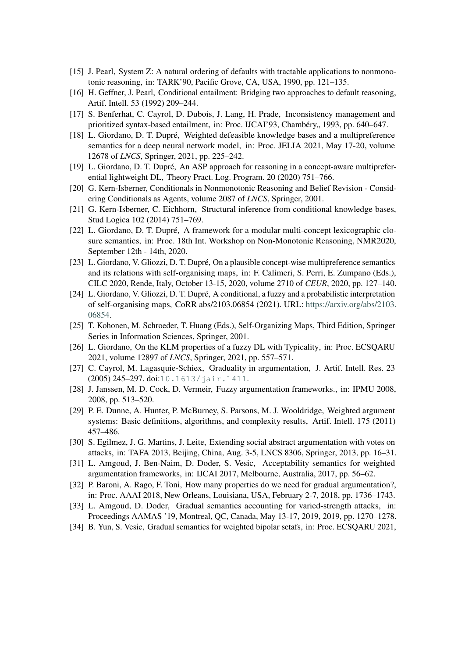- <span id="page-13-4"></span>[15] J. Pearl, System Z: A natural ordering of defaults with tractable applications to nonmonotonic reasoning, in: TARK'90, Pacific Grove, CA, USA, 1990, pp. 121–135.
- <span id="page-13-6"></span>[16] H. Geffner, J. Pearl, Conditional entailment: Bridging two approaches to default reasoning, Artif. Intell. 53 (1992) 209–244.
- <span id="page-13-5"></span>[17] S. Benferhat, C. Cayrol, D. Dubois, J. Lang, H. Prade, Inconsistency management and prioritized syntax-based entailment, in: Proc. IJCAI'93, Chambéry, 1993, pp. 640–647.
- <span id="page-13-11"></span>[18] L. Giordano, D. T. Dupré, Weighted defeasible knowledge bases and a multipreference semantics for a deep neural network model, in: Proc. JELIA 2021, May 17-20, volume 12678 of *LNCS*, Springer, 2021, pp. 225–242.
- <span id="page-13-2"></span>[19] L. Giordano, D. T. Dupré, An ASP approach for reasoning in a concept-aware multipreferential lightweight DL, Theory Pract. Log. Program. 20 (2020) 751–766.
- <span id="page-13-0"></span>[20] G. Kern-Isberner, Conditionals in Nonmonotonic Reasoning and Belief Revision - Considering Conditionals as Agents, volume 2087 of *LNCS*, Springer, 2001.
- <span id="page-13-1"></span>[21] G. Kern-Isberner, C. Eichhorn, Structural inference from conditional knowledge bases, Stud Logica 102 (2014) 751–769.
- <span id="page-13-3"></span>[22] L. Giordano, D. T. Dupré, A framework for a modular multi-concept lexicographic closure semantics, in: Proc. 18th Int. Workshop on Non-Monotonic Reasoning, NMR2020, September 12th - 14th, 2020.
- <span id="page-13-7"></span>[23] L. Giordano, V. Gliozzi, D. T. Dupré, On a plausible concept-wise multipreference semantics and its relations with self-organising maps, in: F. Calimeri, S. Perri, E. Zumpano (Eds.), CILC 2020, Rende, Italy, October 13-15, 2020, volume 2710 of *CEUR*, 2020, pp. 127–140.
- <span id="page-13-8"></span>[24] L. Giordano, V. Gliozzi, D. T. Dupré, A conditional, a fuzzy and a probabilistic interpretation of self-organising maps, CoRR abs/2103.06854 (2021). URL: [https://arxiv.org/abs/2103.](https://arxiv.org/abs/2103.06854) [06854.](https://arxiv.org/abs/2103.06854)
- <span id="page-13-9"></span>[25] T. Kohonen, M. Schroeder, T. Huang (Eds.), Self-Organizing Maps, Third Edition, Springer Series in Information Sciences, Springer, 2001.
- <span id="page-13-10"></span>[26] L. Giordano, On the KLM properties of a fuzzy DL with Typicality, in: Proc. ECSQARU 2021, volume 12897 of *LNCS*, Springer, 2021, pp. 557–571.
- <span id="page-13-12"></span>[27] C. Cayrol, M. Lagasquie-Schiex, Graduality in argumentation, J. Artif. Intell. Res. 23 (2005) 245–297. doi:[10.1613/jair.1411](http://dx.doi.org/10.1613/jair.1411).
- <span id="page-13-13"></span>[28] J. Janssen, M. D. Cock, D. Vermeir, Fuzzy argumentation frameworks., in: IPMU 2008, 2008, pp. 513–520.
- <span id="page-13-14"></span>[29] P. E. Dunne, A. Hunter, P. McBurney, S. Parsons, M. J. Wooldridge, Weighted argument systems: Basic definitions, algorithms, and complexity results, Artif. Intell. 175 (2011) 457–486.
- <span id="page-13-15"></span>[30] S. Egilmez, J. G. Martins, J. Leite, Extending social abstract argumentation with votes on attacks, in: TAFA 2013, Beijing, China, Aug. 3-5, LNCS 8306, Springer, 2013, pp. 16–31.
- <span id="page-13-16"></span>[31] L. Amgoud, J. Ben-Naim, D. Doder, S. Vesic, Acceptability semantics for weighted argumentation frameworks, in: IJCAI 2017, Melbourne, Australia, 2017, pp. 56–62.
- <span id="page-13-17"></span>[32] P. Baroni, A. Rago, F. Toni, How many properties do we need for gradual argumentation?, in: Proc. AAAI 2018, New Orleans, Louisiana, USA, February 2-7, 2018, pp. 1736–1743.
- <span id="page-13-18"></span>[33] L. Amgoud, D. Doder, Gradual semantics accounting for varied-strength attacks, in: Proceedings AAMAS '19, Montreal, QC, Canada, May 13-17, 2019, 2019, pp. 1270–1278.
- <span id="page-13-19"></span>[34] B. Yun, S. Vesic, Gradual semantics for weighted bipolar setafs, in: Proc. ECSQARU 2021,